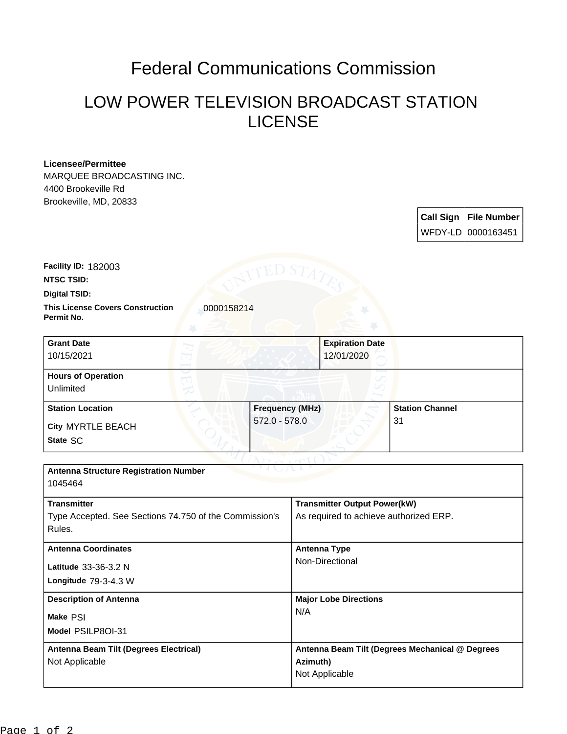## Federal Communications Commission

## LOW POWER TELEVISION BROADCAST STATION LICENSE

## **Licensee/Permittee**

MARQUEE BROADCASTING INC. 4400 Brookeville Rd Brookeville, MD, 20833

> **Call Sign File Number** WFDY-LD 0000163451

**Digital TSID: NTSC TSID: Facility ID:** 182003

**Permit No.**

**This License Covers Construction**  0000158214

| <b>Grant Date</b><br>10/15/2021        | <b>Expiration Date</b><br>12/01/2020 |                        |
|----------------------------------------|--------------------------------------|------------------------|
| <b>Hours of Operation</b><br>Unlimited |                                      |                        |
| <b>Station Location</b>                | <b>Frequency (MHz)</b>               | <b>Station Channel</b> |
| City MYRTLE BEACH<br>State SC          | $572.0 - 578.0$                      | 31                     |

| <b>Antenna Structure Registration Number</b><br>1045464                                |                                                                               |  |  |
|----------------------------------------------------------------------------------------|-------------------------------------------------------------------------------|--|--|
| <b>Transmitter</b><br>Type Accepted. See Sections 74.750 of the Commission's<br>Rules. | <b>Transmitter Output Power(kW)</b><br>As required to achieve authorized ERP. |  |  |
| <b>Antenna Coordinates</b><br>Latitude 33-36-3.2 N<br>Longitude $79-3-4.3$ W           | <b>Antenna Type</b><br>Non-Directional                                        |  |  |
| <b>Description of Antenna</b><br>Make PSI<br>Model PSILP80I-31                         | <b>Major Lobe Directions</b><br>N/A                                           |  |  |
| Antenna Beam Tilt (Degrees Electrical)<br>Not Applicable                               | Antenna Beam Tilt (Degrees Mechanical @ Degrees<br>Azimuth)<br>Not Applicable |  |  |